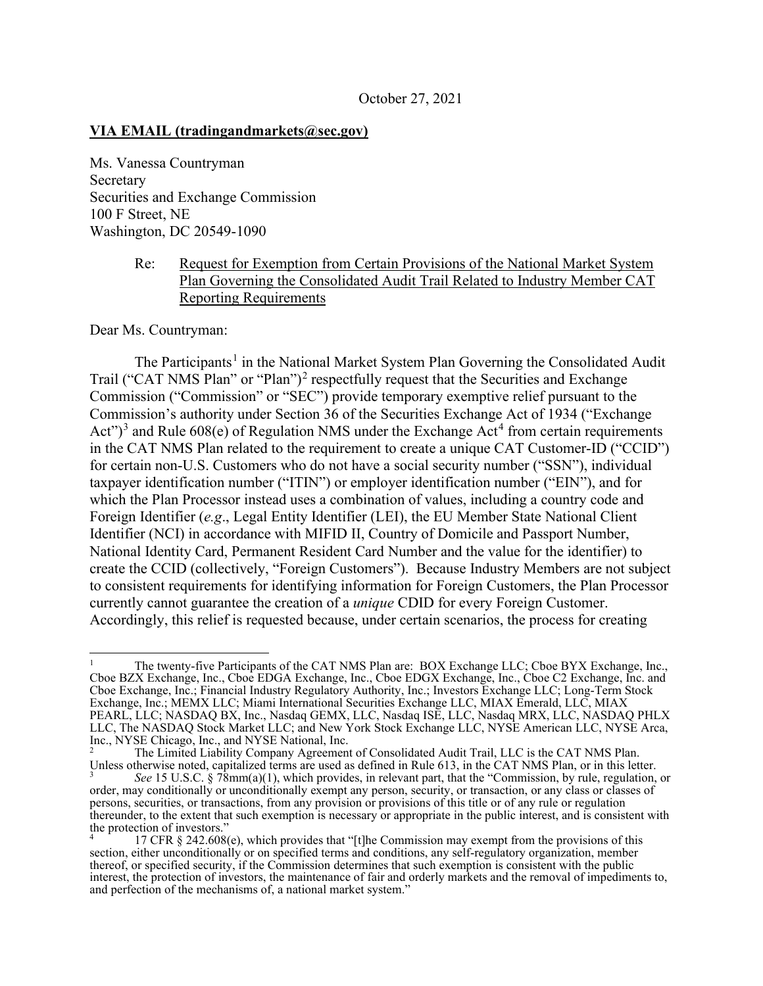#### **VIA EMAIL (tradingandmarkets@sec.gov)**

Ms. Vanessa Countryman Secretary Securities and Exchange Commission 100 F Street, NE Washington, DC 20549-1090

#### Re: Request for Exemption from Certain Provisions of the National Market System Plan Governing the Consolidated Audit Trail Related to Industry Member CAT Reporting Requirements

Dear Ms. Countryman:

The Participants<sup>1</sup> in the National Market System Plan Governing the Consolidated Audit Trail ("CAT NMS Plan" or "Plan")<sup>2</sup> respectfully request that the Securities and Exchange Commission ("Commission" or "SEC") provide temporary exemptive relief pursuant to the Commission's authority under Section 36 of the Securities Exchange Act of 1934 ("Exchange Act" $)^3$  and Rule 608(e) of Regulation NMS under the Exchange Act<sup>4</sup> from certain requirements in the CAT NMS Plan related to the requirement to create a unique CAT Customer-ID ("CCID") for certain non-U.S. Customers who do not have a social security number ("SSN"), individual taxpayer identification number ("ITIN") or employer identification number ("EIN"), and for which the Plan Processor instead uses a combination of values, including a country code and Foreign Identifier (*e.g*., Legal Entity Identifier (LEI), the EU Member State National Client Identifier (NCI) in accordance with MIFID II, Country of Domicile and Passport Number, National Identity Card, Permanent Resident Card Number and the value for the identifier) to create the CCID (collectively, "Foreign Customers"). Because Industry Members are not subject to consistent requirements for identifying information for Foreign Customers, the Plan Processor currently cannot guarantee the creation of a *unique* CDID for every Foreign Customer. Accordingly, this relief is requested because, under certain scenarios, the process for creating

<sup>1</sup> The twenty-five Participants of the CAT NMS Plan are: BOX Exchange LLC; Cboe BYX Exchange, Inc., Cboe BZX Exchange, Inc., Cboe EDGA Exchange, Inc., Cboe EDGX Exchange, Inc., Cboe C2 Exchange, Inc. and Cboe Exchange, Inc.; Financial Industry Regulatory Authority, Inc.; Investors Exchange LLC; Long-Term Stock Exchange, Inc.; MEMX LLC; Miami International Securities Exchange LLC, MIAX Emerald, LLC, MIAX PEARL, LLC; NASDAQ BX, Inc., Nasdaq GEMX, LLC, Nasdaq ISE, LLC, Nasdaq MRX, LLC, NASDAQ PHLX LLC, The NASDAQ Stock Market LLC; and New York Stock Exchange LLC, NYSE American LLC, NYSE Arca,

Inc., NYSE Chicago, Inc., and NYSE National, Inc.<br><sup>2</sup> The Limited Liability Company Agreement of Consolidated Audit Trail, LLC is the CAT NMS Plan.<br>Unless otherwise noted, capitalized terms are used as defined in Rule 613,

<sup>3</sup> *See* 15 U.S.C. § 78mm(a)(1), which provides, in relevant part, that the "Commission, by rule, regulation, or order, may conditionally or unconditionally exempt any person, security, or transaction, or any class or classes of persons, securities, or transactions, from any provision or provisions of this title or of any rule or regulation thereunder, to the extent that such exemption is necessary or appropriate in the public interest, and is consistent with the protection of investors."

<sup>4</sup> 17 CFR § 242.608(e), which provides that "[t]he Commission may exempt from the provisions of this section, either unconditionally or on specified terms and conditions, any self-regulatory organization, member thereof, or specified security, if the Commission determines that such exemption is consistent with the public interest, the protection of investors, the maintenance of fair and orderly markets and the removal of impediments to, and perfection of the mechanisms of, a national market system."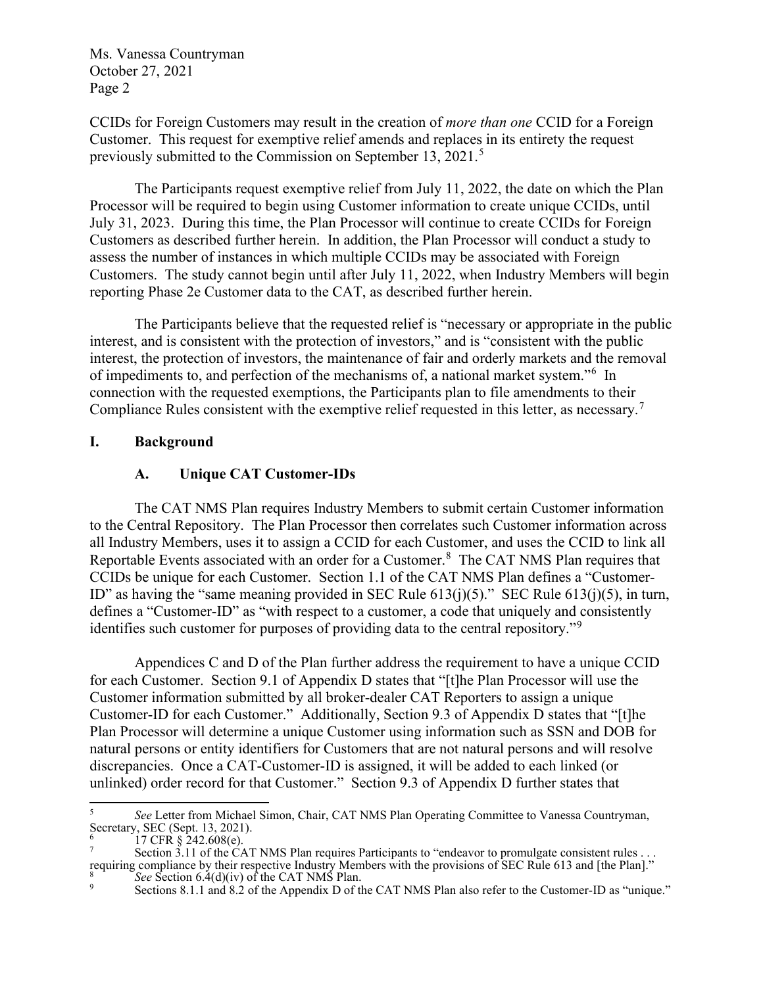CCIDs for Foreign Customers may result in the creation of *more than one* CCID for a Foreign Customer. This request for exemptive relief amends and replaces in its entirety the request previously submitted to the Commission on September 13, 2021.<sup>5</sup>

The Participants request exemptive relief from July 11, 2022, the date on which the Plan Processor will be required to begin using Customer information to create unique CCIDs, until July 31, 2023. During this time, the Plan Processor will continue to create CCIDs for Foreign Customers as described further herein. In addition, the Plan Processor will conduct a study to assess the number of instances in which multiple CCIDs may be associated with Foreign Customers. The study cannot begin until after July 11, 2022, when Industry Members will begin reporting Phase 2e Customer data to the CAT, as described further herein.

The Participants believe that the requested relief is "necessary or appropriate in the public interest, and is consistent with the protection of investors," and is "consistent with the public interest, the protection of investors, the maintenance of fair and orderly markets and the removal of impediments to, and perfection of the mechanisms of, a national market system."<sup>6</sup> In connection with the requested exemptions, the Participants plan to file amendments to their Compliance Rules consistent with the exemptive relief requested in this letter, as necessary.<sup>7</sup>

#### **I. Background**

## **A. Unique CAT Customer-IDs**

The CAT NMS Plan requires Industry Members to submit certain Customer information to the Central Repository. The Plan Processor then correlates such Customer information across all Industry Members, uses it to assign a CCID for each Customer, and uses the CCID to link all Reportable Events associated with an order for a Customer.<sup>8</sup> The CAT NMS Plan requires that CCIDs be unique for each Customer. Section 1.1 of the CAT NMS Plan defines a "Customer-ID" as having the "same meaning provided in SEC Rule 613(j)(5)." SEC Rule 613(j)(5), in turn, defines a "Customer-ID" as "with respect to a customer, a code that uniquely and consistently identifies such customer for purposes of providing data to the central repository."<sup>9</sup>

Appendices C and D of the Plan further address the requirement to have a unique CCID for each Customer. Section 9.1 of Appendix D states that "[t]he Plan Processor will use the Customer information submitted by all broker-dealer CAT Reporters to assign a unique Customer-ID for each Customer." Additionally, Section 9.3 of Appendix D states that "[t]he Plan Processor will determine a unique Customer using information such as SSN and DOB for natural persons or entity identifiers for Customers that are not natural persons and will resolve discrepancies. Once a CAT-Customer-ID is assigned, it will be added to each linked (or unlinked) order record for that Customer." Section 9.3 of Appendix D further states that

<sup>5</sup> *See* Letter from Michael Simon, Chair, CAT NMS Plan Operating Committee to Vanessa Countryman, Secretary, SEC (Sept. 13, 2021).

<sup>&</sup>lt;sup>6</sup> 17 CFR § 242.608(e).<br><sup>7</sup> Section 3.11 of the CAT NMS Plan requires Participants to "endeavor to promulgate consistent rules . . . requiring compliance by their respective Industry Members with the provisions of SEC Rule 613 and [the Plan]."<br>
See Section 6.4(d)(iv) of the CAT NMS Plan.<br>
Sections 8.1.1 and 8.2 of the Appendix D of the CAT NMS Plan also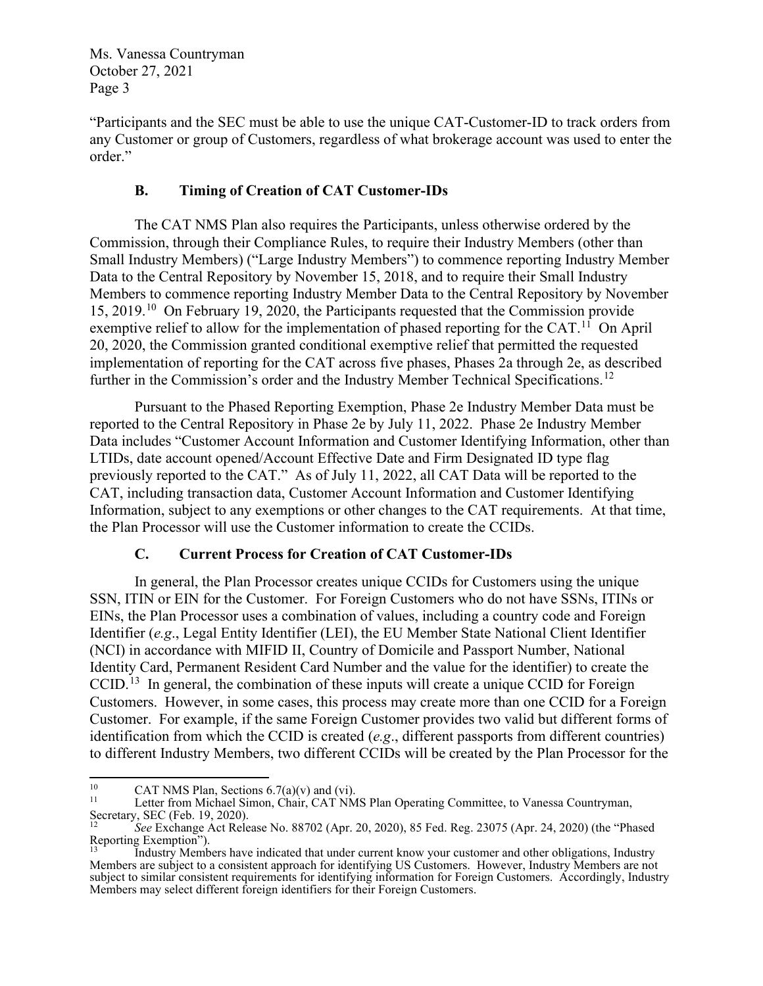"Participants and the SEC must be able to use the unique CAT-Customer-ID to track orders from any Customer or group of Customers, regardless of what brokerage account was used to enter the order."

# **B. Timing of Creation of CAT Customer-IDs**

The CAT NMS Plan also requires the Participants, unless otherwise ordered by the Commission, through their Compliance Rules, to require their Industry Members (other than Small Industry Members) ("Large Industry Members") to commence reporting Industry Member Data to the Central Repository by November 15, 2018, and to require their Small Industry Members to commence reporting Industry Member Data to the Central Repository by November 15, 2019. 10 On February 19, 2020, the Participants requested that the Commission provide exemptive relief to allow for the implementation of phased reporting for the CAT.<sup>11</sup> On April 20, 2020, the Commission granted conditional exemptive relief that permitted the requested implementation of reporting for the CAT across five phases, Phases 2a through 2e, as described further in the Commission's order and the Industry Member Technical Specifications.<sup>12</sup>

Pursuant to the Phased Reporting Exemption, Phase 2e Industry Member Data must be reported to the Central Repository in Phase 2e by July 11, 2022. Phase 2e Industry Member Data includes "Customer Account Information and Customer Identifying Information, other than LTIDs, date account opened/Account Effective Date and Firm Designated ID type flag previously reported to the CAT." As of July 11, 2022, all CAT Data will be reported to the CAT, including transaction data, Customer Account Information and Customer Identifying Information, subject to any exemptions or other changes to the CAT requirements. At that time, the Plan Processor will use the Customer information to create the CCIDs.

## **C. Current Process for Creation of CAT Customer-IDs**

In general, the Plan Processor creates unique CCIDs for Customers using the unique SSN, ITIN or EIN for the Customer. For Foreign Customers who do not have SSNs, ITINs or EINs, the Plan Processor uses a combination of values, including a country code and Foreign Identifier (*e.g*., Legal Entity Identifier (LEI), the EU Member State National Client Identifier (NCI) in accordance with MIFID II, Country of Domicile and Passport Number, National Identity Card, Permanent Resident Card Number and the value for the identifier) to create the CCID.<sup>13</sup> In general, the combination of these inputs will create a unique CCID for Foreign Customers. However, in some cases, this process may create more than one CCID for a Foreign Customer. For example, if the same Foreign Customer provides two valid but different forms of identification from which the CCID is created (*e.g*., different passports from different countries) to different Industry Members, two different CCIDs will be created by the Plan Processor for the

<sup>&</sup>lt;sup>10</sup> CAT NMS Plan, Sections 6.7(a)(v) and (vi).<br><sup>11</sup> Letter from Michael Simon, Chair, CAT NMS Plan Operating Committee, to Vanessa Countryman, Secretary, SEC (Feb. 19, 2020).

<sup>&</sup>lt;sup>12</sup> *See Exchange Act Release No. 88702 (Apr. 20, 2020), 85 Fed. Reg. 23075 (Apr. 24, 2020) (the "Phased Reporting Exemption").* 

Industry Members have indicated that under current know your customer and other obligations, Industry Members are subject to a consistent approach for identifying US Customers. However, Industry Members are not subject to similar consistent requirements for identifying information for Foreign Customers. Accordingly, Industry Members may select different foreign identifiers for their Foreign Customers.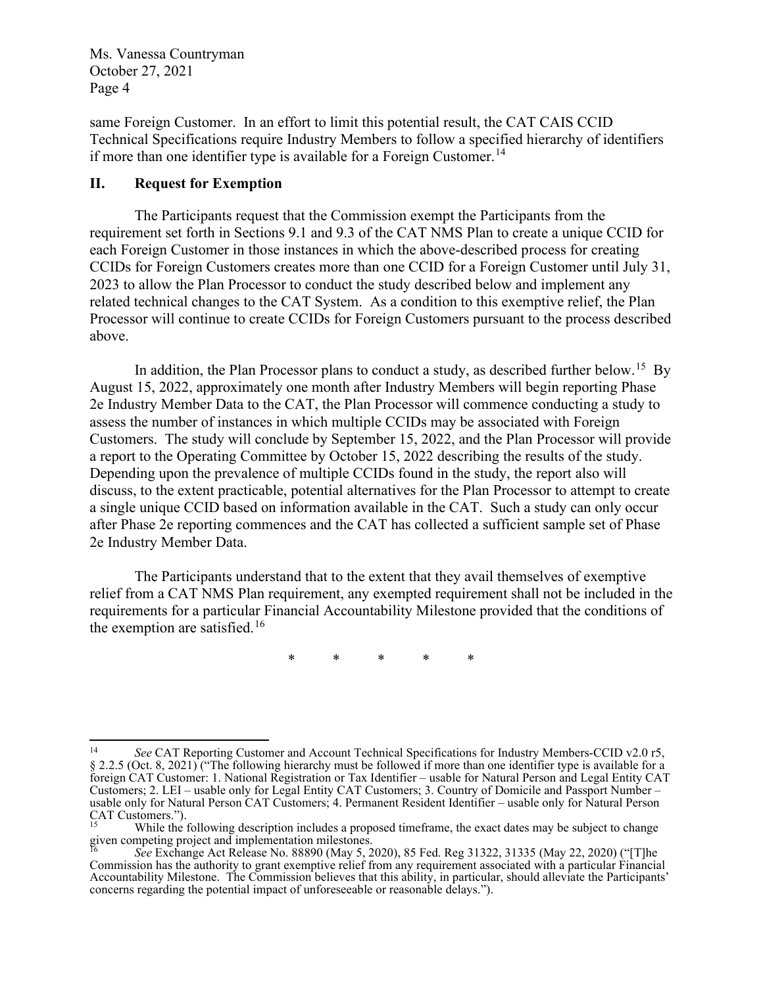same Foreign Customer. In an effort to limit this potential result, the CAT CAIS CCID Technical Specifications require Industry Members to follow a specified hierarchy of identifiers if more than one identifier type is available for a Foreign Customer.<sup>14</sup>

### **II. Request for Exemption**

The Participants request that the Commission exempt the Participants from the requirement set forth in Sections 9.1 and 9.3 of the CAT NMS Plan to create a unique CCID for each Foreign Customer in those instances in which the above-described process for creating CCIDs for Foreign Customers creates more than one CCID for a Foreign Customer until July 31, 2023 to allow the Plan Processor to conduct the study described below and implement any related technical changes to the CAT System. As a condition to this exemptive relief, the Plan Processor will continue to create CCIDs for Foreign Customers pursuant to the process described above.

In addition, the Plan Processor plans to conduct a study, as described further below.<sup>15</sup> By August 15, 2022, approximately one month after Industry Members will begin reporting Phase 2e Industry Member Data to the CAT, the Plan Processor will commence conducting a study to assess the number of instances in which multiple CCIDs may be associated with Foreign Customers. The study will conclude by September 15, 2022, and the Plan Processor will provide a report to the Operating Committee by October 15, 2022 describing the results of the study. Depending upon the prevalence of multiple CCIDs found in the study, the report also will discuss, to the extent practicable, potential alternatives for the Plan Processor to attempt to create a single unique CCID based on information available in the CAT. Such a study can only occur after Phase 2e reporting commences and the CAT has collected a sufficient sample set of Phase 2e Industry Member Data.

The Participants understand that to the extent that they avail themselves of exemptive relief from a CAT NMS Plan requirement, any exempted requirement shall not be included in the requirements for a particular Financial Accountability Milestone provided that the conditions of the exemption are satisfied.<sup>16</sup>

\* \* \* \* \*

<sup>14</sup> *See* CAT Reporting Customer and Account Technical Specifications for Industry Members-CCID v2.0 r5, § 2.2.5 (Oct. 8, 2021) ("The following hierarchy must be followed if more than one identifier type is available for a foreign CAT Customer: 1. National Registration or Tax Identifier – usable for Natural Person and Legal Entity CAT Customers; 2. LEI – usable only for Legal Entity CAT Customers; 3. Country of Domicile and Passport Number – usable only for Natural Person CAT Customers; 4. Permanent Resident Identifier – usable only for Natural Person<br>CAT Customers.").<br><sup>15</sup> While the following description includes a proposed timeframe, the exact dates may be s

While the following description includes a proposed timeframe, the exact dates may be subject to change given competing project and implementation milestones.

<sup>16</sup> *See* Exchange Act Release No. 88890 (May 5, 2020), 85 Fed. Reg 31322, 31335 (May 22, 2020) ("[T]he Commission has the authority to grant exemptive relief from any requirement associated with a particular Financial Accountability Milestone. The Commission believes that this ability, in particular, should alleviate the Participants' concerns regarding the potential impact of unforeseeable or reasonable delays.").